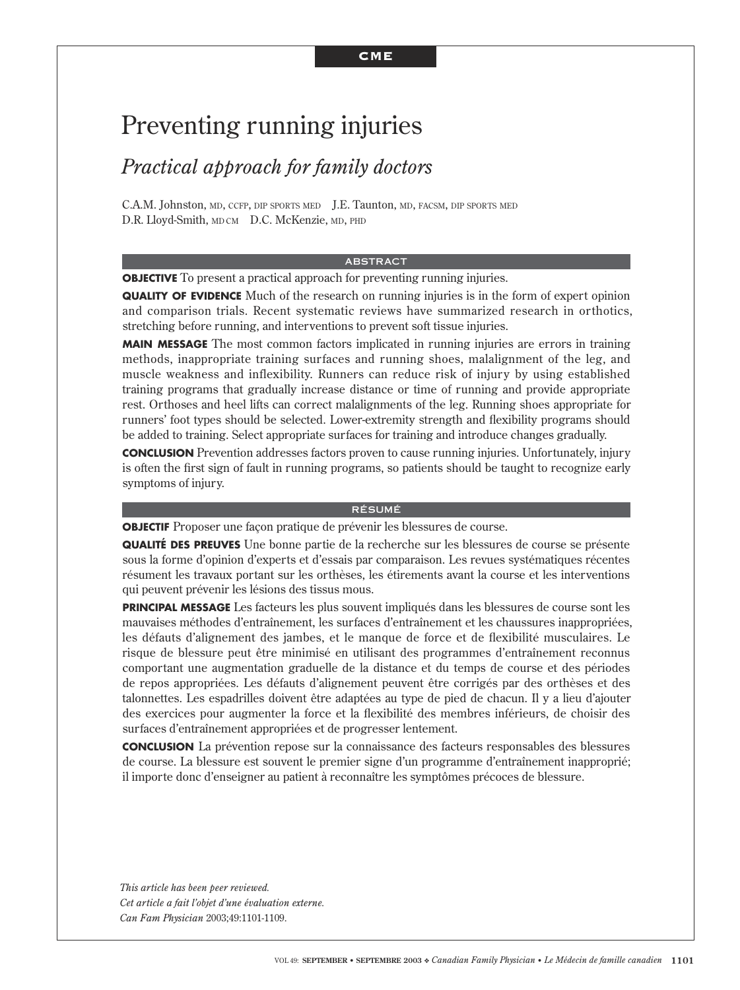# Preventing running injuries

# *Practical approach for family doctors*

C.A.M. Johnston, MD, CCFP, DIP SPORTS MED J.E. Taunton, MD, FACSM, DIP SPORTS MED D.R. Lloyd-Smith, MD CM D.C. McKenzie, MD, PHD

#### ABSTRACT

**OBJECTIVE** To present a practical approach for preventing running injuries.

**QUALITY OF EVIDENCE** Much of the research on running injuries is in the form of expert opinion and comparison trials. Recent systematic reviews have summarized research in orthotics, stretching before running, and interventions to prevent soft tissue injuries.

**MAIN MESSAGE** The most common factors implicated in running injuries are errors in training methods, inappropriate training surfaces and running shoes, malalignment of the leg, and muscle weakness and inflexibility. Runners can reduce risk of injury by using established training programs that gradually increase distance or time of running and provide appropriate rest. Orthoses and heel lifts can correct malalignments of the leg. Running shoes appropriate for runners' foot types should be selected. Lower-extremity strength and flexibility programs should be added to training. Select appropriate surfaces for training and introduce changes gradually.

**CONCLUSION** Prevention addresses factors proven to cause running injuries. Unfortunately, injury is often the first sign of fault in running programs, so patients should be taught to recognize early symptoms of injury.

### RÉSUMÉ

**OBJECTIF** Proposer une façon pratique de prévenir les blessures de course.

**QUALITÉ DES PREUVES** Une bonne partie de la recherche sur les blessures de course se présente sous la forme d'opinion d'experts et d'essais par comparaison. Les revues systématiques récentes résument les travaux portant sur les orthèses, les étirements avant la course et les interventions qui peuvent prévenir les lésions des tissus mous.

**PRINCIPAL MESSAGE** Les facteurs les plus souvent impliqués dans les blessures de course sont les mauvaises méthodes d'entraînement, les surfaces d'entraînement et les chaussures inappropriées, les défauts d'alignement des jambes, et le manque de force et de flexibilité musculaires. Le risque de blessure peut être minimisé en utilisant des programmes d'entraînement reconnus comportant une augmentation graduelle de la distance et du temps de course et des périodes de repos appropriées. Les défauts d'alignement peuvent être corrigés par des orthèses et des talonnettes. Les espadrilles doivent être adaptées au type de pied de chacun. Il y a lieu d'ajouter des exercices pour augmenter la force et la flexibilité des membres inférieurs, de choisir des surfaces d'entraînement appropriées et de progresser lentement.

**CONCLUSION** La prévention repose sur la connaissance des facteurs responsables des blessures de course. La blessure est souvent le premier signe d'un programme d'entraînement inapproprié; il importe donc d'enseigner au patient à reconnaître les symptômes précoces de blessure.

*This article has been peer reviewed. Cet article a fait l'objet d'une évaluation externe. Can Fam Physician* 2003;49:1101-1109.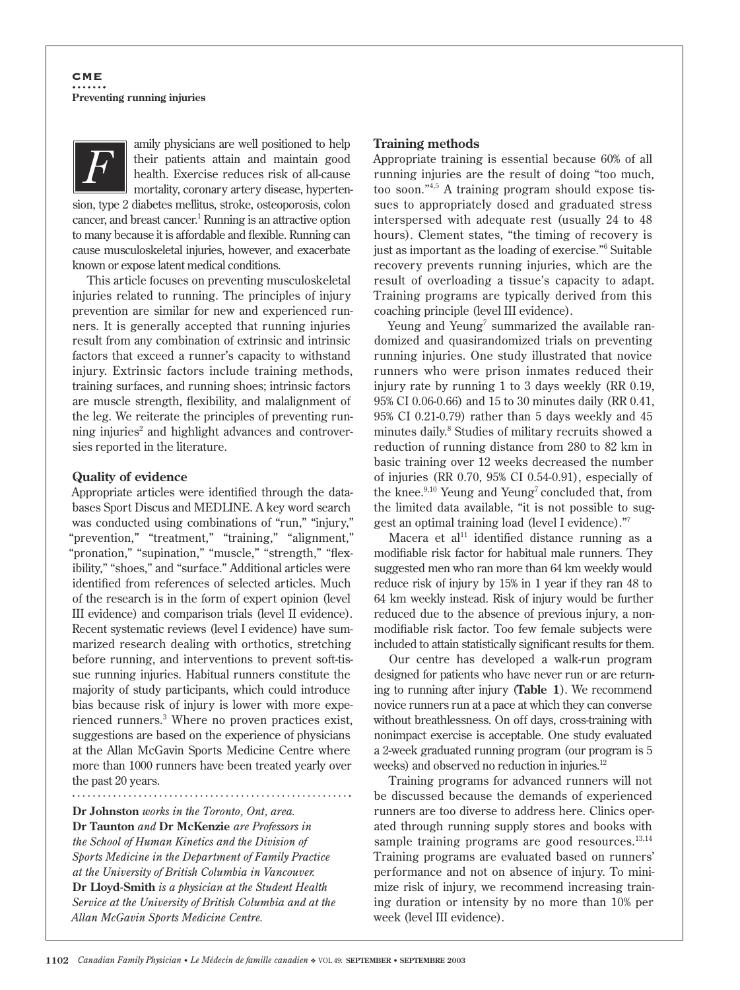

amily physicians are well positioned to help their patients attain and maintain good health. Exercise reduces risk of all-cause mortality, coronary artery disease, hyperten-

sion, type 2 diabetes mellitus, stroke, osteoporosis, colon cancer, and breast cancer.<sup>1</sup> Running is an attractive option to many because it is affordable and flexible. Running can cause musculoskeletal injuries, however, and exacerbate known or expose latent medical conditions.

This article focuses on preventing musculoskeletal injuries related to running. The principles of injury prevention are similar for new and experienced runners. It is generally accepted that running injuries result from any combination of extrinsic and intrinsic factors that exceed a runner's capacity to withstand injury. Extrinsic factors include training methods, training surfaces, and running shoes; intrinsic factors are muscle strength, flexibility, and malalignment of the leg. We reiterate the principles of preventing running injuries<sup>2</sup> and highlight advances and controversies reported in the literature.

### **Quality of evidence**

Appropriate articles were identified through the databases Sport Discus and MEDLINE. A key word search was conducted using combinations of "run," "injury," "prevention," "treatment," "training," "alignment," "pronation," "supination," "muscle," "strength," "flexibility," "shoes," and "surface." Additional articles were identified from references of selected articles. Much of the research is in the form of expert opinion (level III evidence) and comparison trials (level II evidence). Recent systematic reviews (level I evidence) have summarized research dealing with orthotics, stretching before running, and interventions to prevent soft-tissue running injuries. Habitual runners constitute the majority of study participants, which could introduce bias because risk of injury is lower with more experienced runners.3 Where no proven practices exist, suggestions are based on the experience of physicians at the Allan McGavin Sports Medicine Centre where more than 1000 runners have been treated yearly over the past 20 years.

. . . . . . . . . . . . . . . . .

**Dr Johnston** *works in the Toronto, Ont, area.*  **Dr Taunton** *and* **Dr McKenzie** *are Professors in the School of Human Kinetics and the Division of Sports Medicine in the Department of Family Practice at the University of British Columbia in Vancouver.*  **Dr Lloyd-Smith** *is a physician at the Student Health Service at the University of British Columbia and at the Allan McGavin Sports Medicine Centre.*

### **Training methods**

Appropriate training is essential because 60% of all running injuries are the result of doing "too much, too soon."4,5 A training program should expose tissues to appropriately dosed and graduated stress interspersed with adequate rest (usually 24 to 48 hours). Clement states, "the timing of recovery is just as important as the loading of exercise."6 Suitable recovery prevents running injuries, which are the result of overloading a tissue's capacity to adapt. Training programs are typically derived from this coaching principle (level III evidence).

Yeung and Yeung<sup>7</sup> summarized the available randomized and quasirandomized trials on preventing running injuries. One study illustrated that novice runners who were prison inmates reduced their injury rate by running 1 to 3 days weekly (RR 0.19, 95% CI 0.06-0.66) and 15 to 30 minutes daily (RR 0.41, 95% CI 0.21-0.79) rather than 5 days weekly and 45 minutes daily.8 Studies of military recruits showed a reduction of running distance from 280 to 82 km in basic training over 12 weeks decreased the number of injuries (RR 0.70, 95% CI 0.54-0.91), especially of the knee. $9,10$  Yeung and Yeung<sup>7</sup> concluded that, from the limited data available, "it is not possible to suggest an optimal training load (level I evidence)."7

Macera et al<sup>11</sup> identified distance running as a modifiable risk factor for habitual male runners. They suggested men who ran more than 64 km weekly would reduce risk of injury by 15% in 1 year if they ran 48 to 64 km weekly instead. Risk of injury would be further reduced due to the absence of previous injury, a nonmodifiable risk factor. Too few female subjects were included to attain statistically significant results for them.

Our centre has developed a walk-run program designed for patients who have never run or are returning to running after injury (**Table 1**). We recommend novice runners run at a pace at which they can converse without breathlessness. On off days, cross-training with nonimpact exercise is acceptable. One study evaluated a 2-week graduated running program (our program is 5 weeks) and observed no reduction in injuries.<sup>12</sup>

Training programs for advanced runners will not be discussed because the demands of experienced runners are too diverse to address here. Clinics operated through running supply stores and books with sample training programs are good resources. $13,14$ Training programs are evaluated based on runners' performance and not on absence of injury. To minimize risk of injury, we recommend increasing training duration or intensity by no more than 10% per week (level III evidence).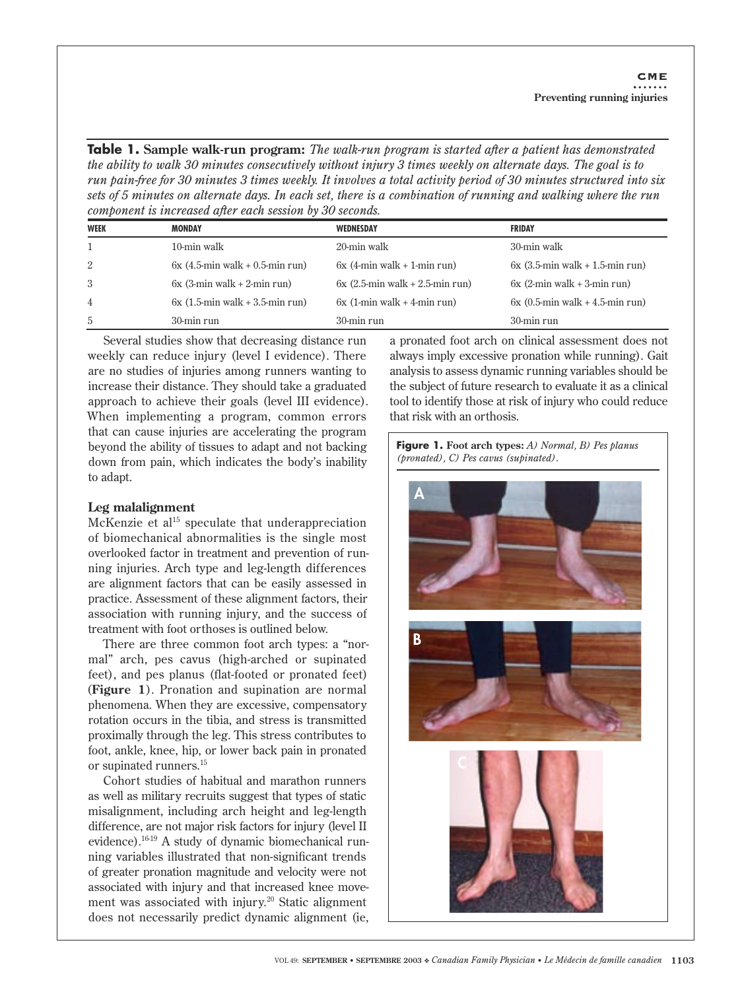**Table 1. Sample walk-run program:** *The walk-run program is started after a patient has demonstrated the ability to walk 30 minutes consecutively without injury 3 times weekly on alternate days. The goal is to run pain-free for 30 minutes 3 times weekly. It involves a total activity period of 30 minutes structured into six sets of 5 minutes on alternate days. In each set, there is a combination of running and walking where the run component is increased after each session by 30 seconds.*

| <b>WEEK</b> | <b>MONDAY</b>                     | <b>WEDNESDAY</b>                  | <b>FRIDAY</b>                                  |
|-------------|-----------------------------------|-----------------------------------|------------------------------------------------|
|             | 10-min walk                       | 20-min walk                       | 30-min walk                                    |
| 2           | $6x$ (4.5-min walk + 0.5-min run) | $6x$ (4-min walk + 1-min run)     | $6x$ (3.5-min walk + 1.5-min run)              |
| -3          | $6x$ (3-min walk + 2-min run)     | $6x$ (2.5-min walk + 2.5-min run) | $6x$ (2-min walk + 3-min run)                  |
| 4           | $6x$ (1.5-min walk + 3.5-min run) | $6x$ (1-min walk + 4-min run)     | $6x(0.5\text{-min walk} + 4.5\text{-min run})$ |
| 5           | 30-min run                        | 30-min run                        | 30-min run                                     |

Several studies show that decreasing distance run weekly can reduce injury (level I evidence). There are no studies of injuries among runners wanting to increase their distance. They should take a graduated approach to achieve their goals (level III evidence). When implementing a program, common errors that can cause injuries are accelerating the program beyond the ability of tissues to adapt and not backing down from pain, which indicates the body's inability to adapt.

### **Leg malalignment**

McKenzie et  $al<sup>15</sup>$  speculate that underappreciation of biomechanical abnormalities is the single most overlooked factor in treatment and prevention of running injuries. Arch type and leg-length differences are alignment factors that can be easily assessed in practice. Assessment of these alignment factors, their association with running injury, and the success of treatment with foot orthoses is outlined below.

There are three common foot arch types: a "normal" arch, pes cavus (high-arched or supinated feet), and pes planus (flat-footed or pronated feet) (**Figure 1**). Pronation and supination are normal phenomena. When they are excessive, compensatory rotation occurs in the tibia, and stress is transmitted proximally through the leg. This stress contributes to foot, ankle, knee, hip, or lower back pain in pronated or supinated runners.15

Cohort studies of habitual and marathon runners as well as military recruits suggest that types of static misalignment, including arch height and leg-length difference, are not major risk factors for injury (level II evidence).<sup>16-19</sup> A study of dynamic biomechanical running variables illustrated that non-significant trends of greater pronation magnitude and velocity were not associated with injury and that increased knee movement was associated with injury.<sup>20</sup> Static alignment does not necessarily predict dynamic alignment (ie,

a pronated foot arch on clinical assessment does not always imply excessive pronation while running). Gait analysis to assess dynamic running variables should be the subject of future research to evaluate it as a clinical tool to identify those at risk of injury who could reduce that risk with an orthosis.

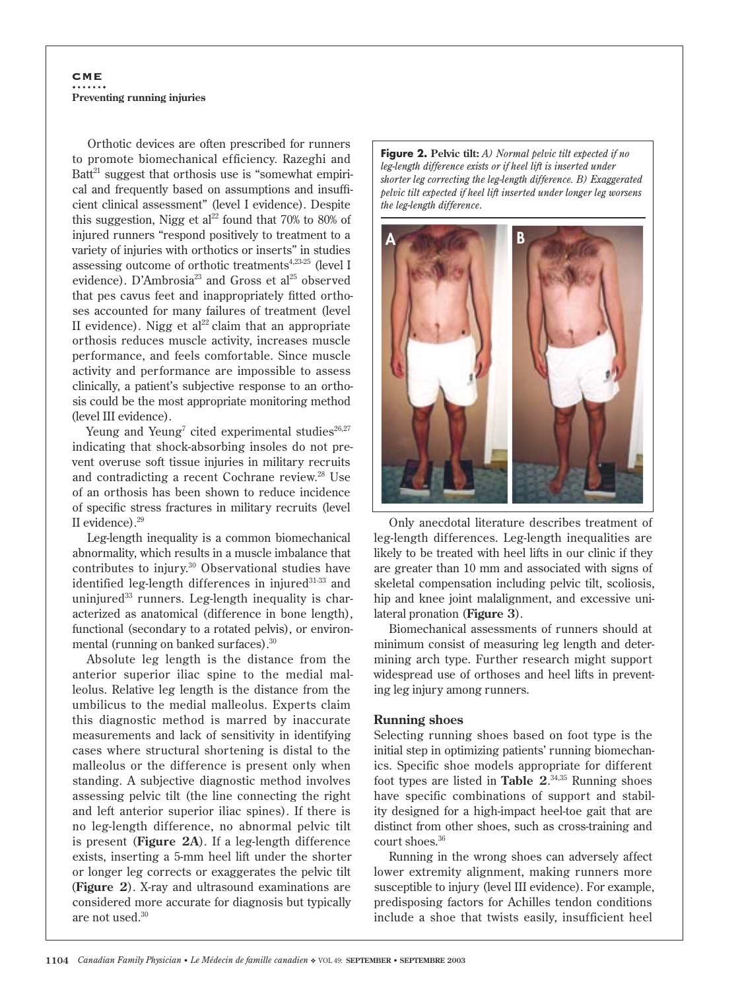# **CME Preventing running injuries**

Orthotic devices are often prescribed for runners to promote biomechanical efficiency. Razeghi and Batt $21$  suggest that orthosis use is "somewhat empirical and frequently based on assumptions and insufficient clinical assessment" (level I evidence). Despite this suggestion, Nigg et al<sup>22</sup> found that  $70\%$  to  $80\%$  of injured runners "respond positively to treatment to a variety of injuries with orthotics or inserts" in studies assessing outcome of orthotic treatments<sup>4,23-25</sup> (level I evidence). D'Ambrosia<sup>23</sup> and Gross et al<sup>25</sup> observed that pes cavus feet and inappropriately fitted orthoses accounted for many failures of treatment (level II evidence). Nigg et al<sup>22</sup> claim that an appropriate orthosis reduces muscle activity, increases muscle performance, and feels comfortable. Since muscle activity and performance are impossible to assess clinically, a patient's subjective response to an orthosis could be the most appropriate monitoring method (level III evidence).

Yeung and Yeung<sup>7</sup> cited experimental studies<sup>26,27</sup> indicating that shock-absorbing insoles do not prevent overuse soft tissue injuries in military recruits and contradicting a recent Cochrane review.<sup>28</sup> Use of an orthosis has been shown to reduce incidence of specific stress fractures in military recruits (level II evidence).29

Leg-length inequality is a common biomechanical abnormality, which results in a muscle imbalance that contributes to injury.30 Observational studies have identified leg-length differences in injured $31-33$  and uninjured $33$  runners. Leg-length inequality is characterized as anatomical (difference in bone length), functional (secondary to a rotated pelvis), or environmental (running on banked surfaces).30

Absolute leg length is the distance from the anterior superior iliac spine to the medial malleolus. Relative leg length is the distance from the umbilicus to the medial malleolus. Experts claim this diagnostic method is marred by inaccurate measurements and lack of sensitivity in identifying cases where structural shortening is distal to the malleolus or the difference is present only when standing. A subjective diagnostic method involves assessing pelvic tilt (the line connecting the right and left anterior superior iliac spines). If there is no leg-length difference, no abnormal pelvic tilt is present (**Figure 2A**). If a leg-length difference exists, inserting a 5-mm heel lift under the shorter or longer leg corrects or exaggerates the pelvic tilt (**Figure 2**). X-ray and ultrasound examinations are considered more accurate for diagnosis but typically are not used.30

**Figure 2. Pelvic tilt:** *A) Normal pelvic tilt expected if no leg-length difference exists or if heel lift is inserted under shorter leg correcting the leg-length difference. B) Exaggerated pelvic tilt expected if heel lift inserted under longer leg worsens the leg-length difference*.



Only anecdotal literature describes treatment of leg-length differences. Leg-length inequalities are likely to be treated with heel lifts in our clinic if they are greater than 10 mm and associated with signs of skeletal compensation including pelvic tilt, scoliosis, hip and knee joint malalignment, and excessive unilateral pronation (**Figure 3**).

Biomechanical assessments of runners should at minimum consist of measuring leg length and determining arch type. Further research might support widespread use of orthoses and heel lifts in preventing leg injury among runners.

### **Running shoes**

Selecting running shoes based on foot type is the initial step in optimizing patients' running biomechanics. Specific shoe models appropriate for different foot types are listed in **Table 2**. 34,35 Running shoes have specific combinations of support and stability designed for a high-impact heel-toe gait that are distinct from other shoes, such as cross-training and court shoes.<sup>36</sup>

Running in the wrong shoes can adversely affect lower extremity alignment, making runners more susceptible to injury (level III evidence). For example, predisposing factors for Achilles tendon conditions include a shoe that twists easily, insufficient heel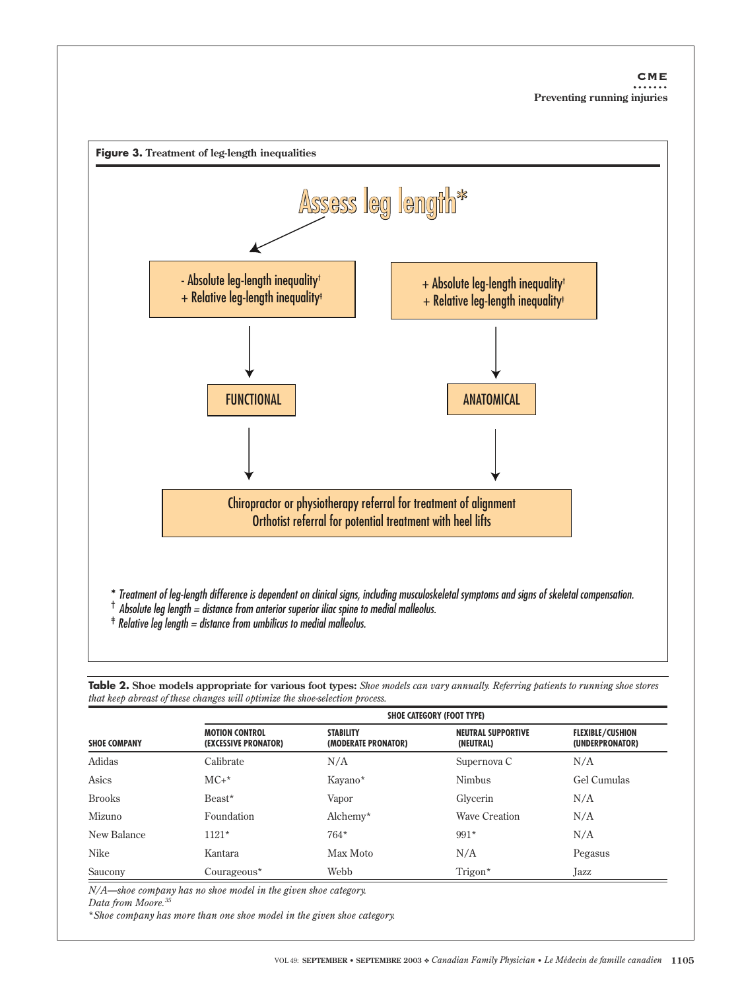

Table 2. Shoe models appropriate for various foot types: Shoe models can vary annually. Referring patients to running shoe stores that keep abreast of these changes will optimize the shoe-selection process.

|                     | <b>SHOE CATEGORY (FOOT TYPE)</b>              |                                         |                                        |                                            |  |
|---------------------|-----------------------------------------------|-----------------------------------------|----------------------------------------|--------------------------------------------|--|
| <b>SHOE COMPANY</b> | <b>MOTION CONTROL</b><br>(EXCESSIVE PRONATOR) | <b>STABILITY</b><br>(MODERATE PRONATOR) | <b>NEUTRAL SUPPORTIVE</b><br>(NEUTRAL) | <b>FLEXIBLE/CUSHION</b><br>(UNDERPRONATOR) |  |
| Adidas              | Calibrate                                     | N/A                                     | Supernova C                            | N/A                                        |  |
| Asics               | $MC+*$                                        | Kayano*                                 | <b>Nimbus</b>                          | Gel Cumulas                                |  |
| <b>Brooks</b>       | Beast*                                        | Vapor                                   | Glycerin                               | N/A                                        |  |
| Mizuno              | Foundation                                    | $Alchemy*$                              | <b>Wave Creation</b>                   | N/A                                        |  |
| New Balance         | $1121*$                                       | $764*$                                  | $991*$                                 | N/A                                        |  |
| Nike                | Kantara                                       | Max Moto                                | N/A                                    | Pegasus                                    |  |
| Saucony             | $Course*$                                     | Webb                                    | Trigon*                                | Jazz                                       |  |

N/A-shoe company has no shoe model in the given shoe category.

Data from Moore.<sup>35</sup>

\*Shoe company has more than one shoe model in the given shoe category.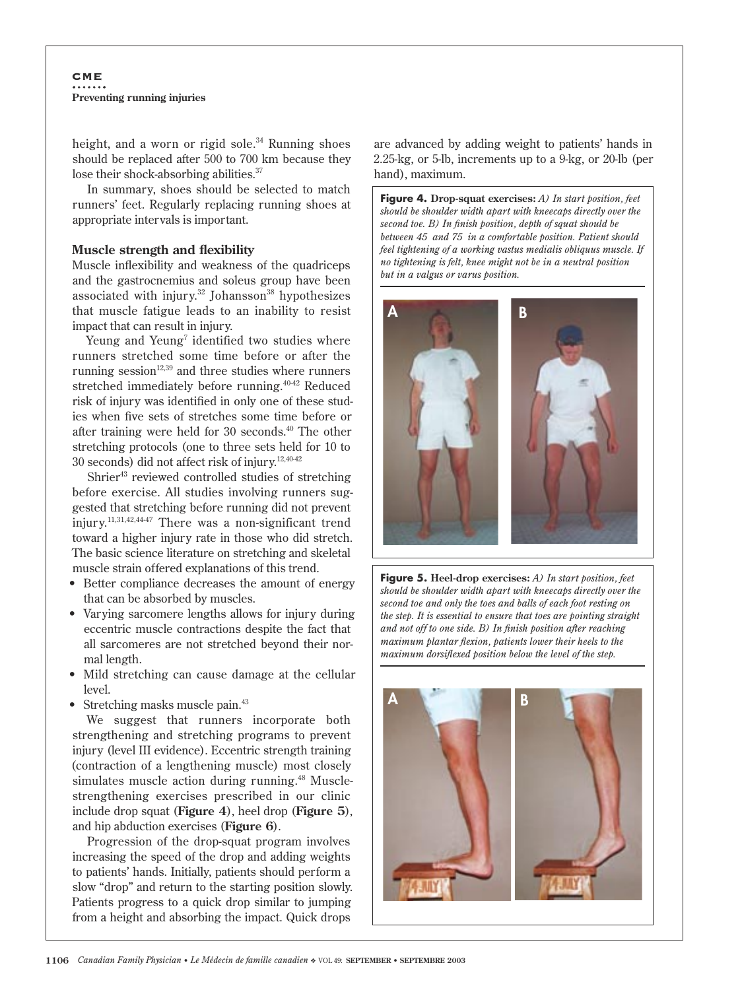## CME **Preventing running injuries**

height, and a worn or rigid sole.<sup>34</sup> Running shoes should be replaced after 500 to 700 km because they lose their shock-absorbing abilities.<sup>37</sup>

In summary, shoes should be selected to match runners' feet. Regularly replacing running shoes at appropriate intervals is important.

### **Muscle strength and flexibility**

Muscle inflexibility and weakness of the quadriceps and the gastrocnemius and soleus group have been associated with injury.<sup>32</sup> Johansson<sup>38</sup> hypothesizes that muscle fatigue leads to an inability to resist impact that can result in injury.

Yeung and Yeung<sup>7</sup> identified two studies where runners stretched some time before or after the running session $12,39$  and three studies where runners stretched immediately before running.<sup>40-42</sup> Reduced risk of injury was identified in only one of these studies when five sets of stretches some time before or after training were held for 30 seconds.40 The other stretching protocols (one to three sets held for 10 to 30 seconds) did not affect risk of injury.12,40-42

Shrier<sup>43</sup> reviewed controlled studies of stretching before exercise. All studies involving runners suggested that stretching before running did not prevent injury.11,31,42,44-47 There was a non-significant trend toward a higher injury rate in those who did stretch. The basic science literature on stretching and skeletal muscle strain offered explanations of this trend.

- Better compliance decreases the amount of energy that can be absorbed by muscles.
- Varying sarcomere lengths allows for injury during eccentric muscle contractions despite the fact that all sarcomeres are not stretched beyond their normal length.
- Mild stretching can cause damage at the cellular level.
- Stretching masks muscle pain.<sup>43</sup>

We suggest that runners incorporate both strengthening and stretching programs to prevent injury (level III evidence). Eccentric strength training (contraction of a lengthening muscle) most closely simulates muscle action during running.<sup>48</sup> Musclestrengthening exercises prescribed in our clinic include drop squat (**Figure 4**), heel drop (**Figure 5**), and hip abduction exercises (**Figure 6**).

Progression of the drop-squat program involves increasing the speed of the drop and adding weights to patients' hands. Initially, patients should perform a slow "drop" and return to the starting position slowly. Patients progress to a quick drop similar to jumping from a height and absorbing the impact. Quick drops

are advanced by adding weight to patients' hands in 2.25-kg, or 5-lb, increments up to a 9-kg, or 20-lb (per hand), maximum.

**Figure 4. Drop-squat exercises:** *A) In start position, feet should be shoulder width apart with kneecaps directly over the second toe. B) In finish position, depth of squat should be between 45 and 75 in a comfortable position. Patient should feel tightening of a working vastus medialis obliquus muscle. If no tightening is felt, knee might not be in a neutral position but in a valgus or varus position.*





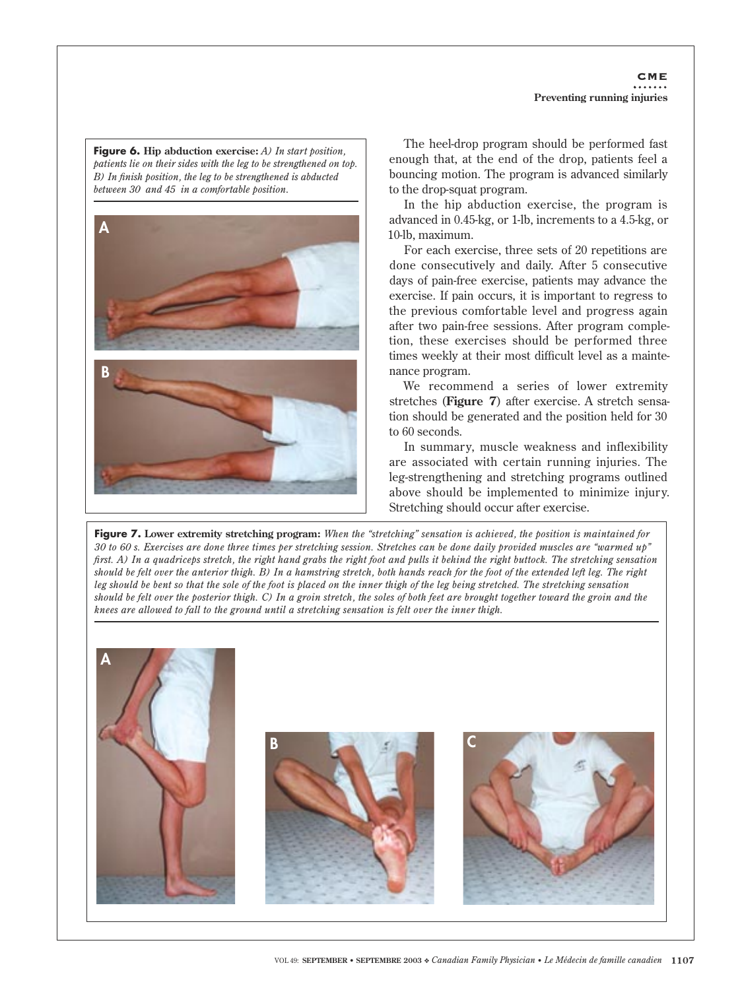## **CME Preventing running injuries**

**Figure 6. Hip abduction exercise:** *A) In start position, patients lie on their sides with the leg to be strengthened on top. B) In finish position, the leg to be strengthened is abducted between 30 and 45 in a comfortable position*.



The heel-drop program should be performed fast enough that, at the end of the drop, patients feel a bouncing motion. The program is advanced similarly to the drop-squat program.

In the hip abduction exercise, the program is advanced in 0.45-kg, or 1-lb, increments to a 4.5-kg, or 10-lb, maximum.

For each exercise, three sets of 20 repetitions are done consecutively and daily. After 5 consecutive days of pain-free exercise, patients may advance the exercise. If pain occurs, it is important to regress to the previous comfortable level and progress again after two pain-free sessions. After program completion, these exercises should be performed three times weekly at their most difficult level as a maintenance program.

We recommend a series of lower extremity stretches (**Figure 7**) after exercise. A stretch sensation should be generated and the position held for 30 to 60 seconds.

In summary, muscle weakness and inflexibility are associated with certain running injuries. The leg-strengthening and stretching programs outlined above should be implemented to minimize injury. Stretching should occur after exercise.

**Figure 7. Lower extremity stretching program:** *When the "stretching" sensation is achieved, the position is maintained for 30 to 60 s. Exercises are done three times per stretching session. Stretches can be done daily provided muscles are "warmed up" first. A) In a quadriceps stretch, the right hand grabs the right foot and pulls it behind the right buttock. The stretching sensation should be felt over the anterior thigh. B) In a hamstring stretch, both hands reach for the foot of the extended left leg. The right leg should be bent so that the sole of the foot is placed on the inner thigh of the leg being stretched. The stretching sensation should be felt over the posterior thigh. C) In a groin stretch, the soles of both feet are brought together toward the groin and the knees are allowed to fall to the ground until a stretching sensation is felt over the inner thigh.* 

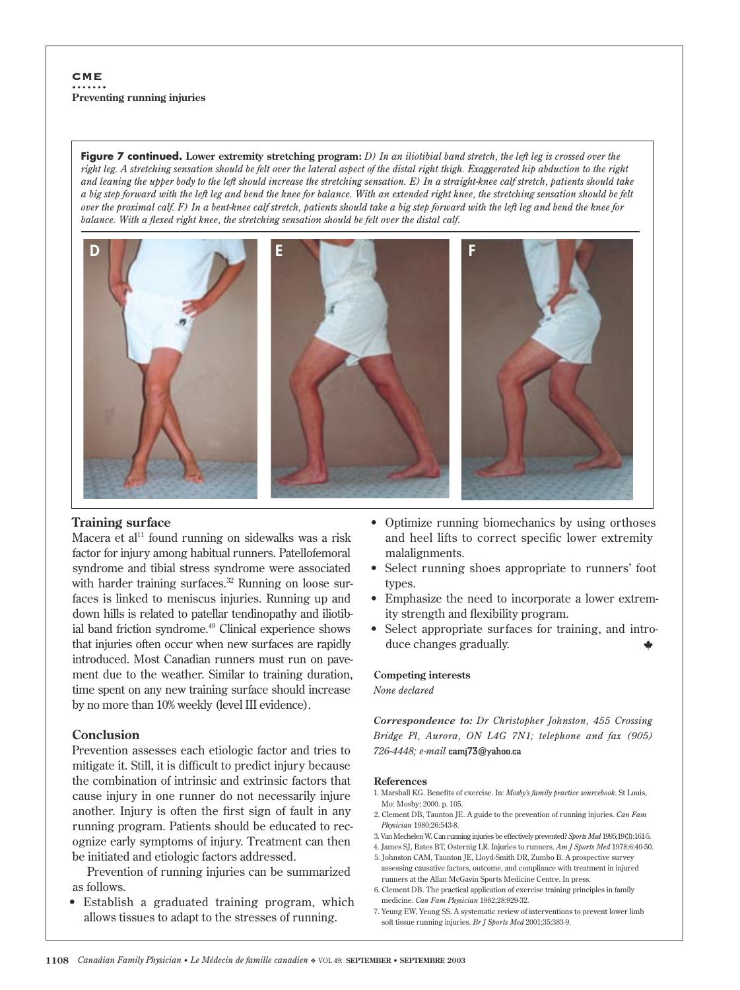j

**Figure 7 continued. Lower extremity stretching program:** *D) In an iliotibial band stretch, the left leg is crossed over the right leg. A stretching sensation should be felt over the lateral aspect of the distal right thigh. Exaggerated hip abduction to the right and leaning the upper body to the left should increase the stretching sensation. E) In a straight-knee calf stretch, patients should take a big step forward with the left leg and bend the knee for balance. With an extended right knee, the stretching sensation should be felt over the proximal calf. F) In a bent-knee calf stretch, patients should take a big step forward with the left leg and bend the knee for balance. With a flexed right knee, the stretching sensation should be felt over the distal calf*.



### **Training surface**

Macera et al<sup>11</sup> found running on sidewalks was a risk factor for injury among habitual runners. Patellofemoral syndrome and tibial stress syndrome were associated with harder training surfaces. $32$  Running on loose surfaces is linked to meniscus injuries. Running up and down hills is related to patellar tendinopathy and iliotibial band friction syndrome.<sup>49</sup> Clinical experience shows that injuries often occur when new surfaces are rapidly introduced. Most Canadian runners must run on pavement due to the weather. Similar to training duration, time spent on any new training surface should increase by no more than 10% weekly (level III evidence).

### **Conclusion**

Prevention assesses each etiologic factor and tries to mitigate it. Still, it is difficult to predict injury because the combination of intrinsic and extrinsic factors that cause injury in one runner do not necessarily injure another. Injury is often the first sign of fault in any running program. Patients should be educated to recognize early symptoms of injury. Treatment can then be initiated and etiologic factors addressed.

Prevention of running injuries can be summarized as follows.

• Establish a graduated training program, which allows tissues to adapt to the stresses of running.

- Optimize running biomechanics by using orthoses and heel lifts to correct specific lower extremity malalignments.
- Select running shoes appropriate to runners' foot types.
- Emphasize the need to incorporate a lower extremity strength and flexibility program.
- Select appropriate surfaces for training, and introduce changes gradually.

#### **Competing interests**

*None declared*

*Correspondence to: Dr Christopher Johnston, 455 Crossing Bridge Pl, Aurora, ON L4G 7N1; telephone and fax (905) 726-4448; e-mail* camj73@yahoo.ca

#### **References**

- 1. Marshall KG. Benefits of exercise. In: *Mosby's family practice sourcebook*. St Louis, Mo: Mosby; 2000. p. 105.
- 2. Clement DB, Taunton JE. A guide to the prevention of running injuries. *Can Fam Physician* 1980;26:543-8.
- 3. Van Mechelen W. Can running injuries be effectively prevented? *Sports Med* 1995;19(3):161-5.
- 4. James SJ, Bates BT, Osternig LR. Injuries to runners. *Am J Sports Med* 1978;6:40-50.
- 5. Johnston CAM, Taunton JE, Lloyd-Smith DR, Zumbo B. A prospective survey assessing causative factors, outcome, and compliance with treatment in injured runners at the Allan McGavin Sports Medicine Centre. In press.
- 6. Clement DB. The practical application of exercise training principles in family medicine. *Can Fam Physician* 1982;28:929-32.
- 7. Yeung EW, Yeung SS. A systematic review of interventions to prevent lower limb soft tissue running injuries. *Br J Sports Med* 2001;35:383-9.